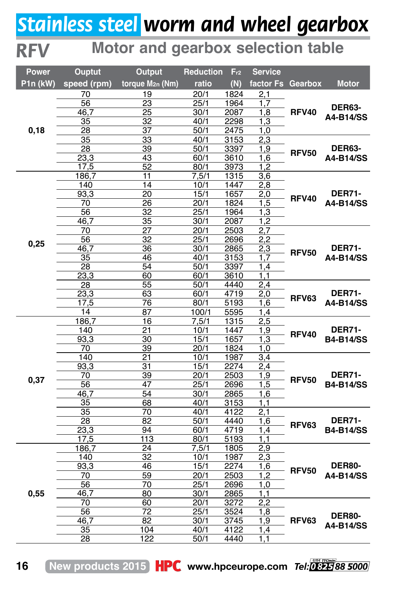## *Stainless steel worm and wheel gearbox*

## **Motor and gearbox selection table**

| Power    | <b>Ouptut</b> | <b>Output</b>                      | Reduction    | Fr <sub>2</sub> | <b>Service</b>    |              |                                   |
|----------|---------------|------------------------------------|--------------|-----------------|-------------------|--------------|-----------------------------------|
| P1n (kW) | speed (rpm)   | torque M <sub>2n</sub> (Nm)        | ratio        | (N)             | factor Fs Gearbox |              | <b>Motor</b>                      |
|          | 70            | 19                                 | 20/1         | 1824            | 2,1               |              | DER63-<br>A4-B14/SS               |
|          | 56            | 23                                 | 25/1         | 1964            | 1,7               |              |                                   |
|          | 46,7          | 25                                 | 30/1         | 2087            | 1,8               | <b>RFV40</b> |                                   |
|          | 35            | $\overline{32}$                    | 40/1         | 2298            | 1,3               |              |                                   |
| 0, 18    | 28            | 37                                 | 50/1         | 2475            | 1,0               |              |                                   |
|          | 35            | 33                                 | 40/1         | 3153            | 2.3               |              | <b>DER63-</b><br>A4-B14/SS        |
|          | 28            | 39                                 | 50/1         | 3397            | 1,9               | <b>RFV50</b> |                                   |
|          | 23,3          | 43                                 | 60/1         | 3610            | 1,6               |              |                                   |
|          | 17,5          | $\overline{52}$                    | 80/1         | 3973            | 1,2               |              |                                   |
|          | 186,7         | 11                                 | 7,5/1        | 1315            | 3,6               |              | <b>DER71-</b>                     |
|          | 140           | 14                                 | 10/1         | 1447            | 2,8               |              |                                   |
|          | 93,3          | 20                                 | 15/1         | 1657            | 2,0               | <b>RFV40</b> |                                   |
|          | 70            | $\overline{26}$<br>$\overline{32}$ | 20/1<br>25/1 | 1824<br>1964    | 1,5               |              | A4-B14/SS                         |
|          | 56<br>46,7    |                                    | 30/1         | 2087            | 1,3               |              |                                   |
|          | 70            | 35<br>$\overline{27}$              | 20/1         | 2503            | 1,2<br>2,7        |              |                                   |
|          | 56            | 32                                 | 25/1         | 2696            | 2,2               |              | <b>DER71-</b>                     |
| 0,25     | 46,7          | 36                                 | 30/1         | 2865            | 2,3               |              |                                   |
|          | 35            | 46                                 | 40/1         | 3153            | 1.7               | <b>RFV50</b> | A4-B14/SS                         |
|          | 28            | 54                                 | 50/1         | 3397            | 1,4               |              |                                   |
|          | 23,3          | 60                                 | 60/1         | 3610            | 1,1               |              |                                   |
|          | 28            | 55                                 | 50/1         | 4440            | 2,4               |              | <b>DER71-</b><br>A4-B14/SS        |
|          | 23.3          | 63                                 | 60/1         | 4719            | 2.0               | RFV63        |                                   |
|          | 17,5          | 76                                 | 80/1         | 5193            | 1,6               |              |                                   |
|          | 14            | 87                                 | 100/1        | 5595            | 1,4               |              |                                   |
|          | 186,7         | 16                                 | 7,5/1        | 1315            | 2,5               |              |                                   |
|          | 140           | $\overline{21}$                    | 10/1         | 1447            | $\overline{1,9}$  |              | <b>DER71-</b><br><b>B4-B14/SS</b> |
|          | 93,3          | 30                                 | 15/1         | 1657            | 1,3               | <b>RFV40</b> |                                   |
|          | 70            | 39                                 | 20/1         | 1824            | 1,0               |              |                                   |
|          | 140           | $\overline{21}$                    | 10/1         | 1987            | 3,4               |              | <b>DER71-</b><br><b>B4-B14/SS</b> |
|          | 93,3          | 31                                 | 15/1         | 2274            | 2,4               |              |                                   |
| 0,37     | 70            | 39                                 | 20/1         | 2503            | 1,9               | <b>RFV50</b> |                                   |
|          | 56            | 47                                 | 25/1         | 2696            | 1,5               |              |                                   |
|          | 46,7          | 54                                 | 30/1         | 2865            | 1,6               |              |                                   |
|          | 35            | 68                                 | 40/1         | 3153            | 1,1               |              |                                   |
|          | 35            | 70                                 | 40/1         | 4122            | 2,1               |              | <b>DER71-</b><br><b>B4-B14/SS</b> |
|          | 28            | 82                                 | 50/1         | 4440            | 1,6               | <b>RFV63</b> |                                   |
|          | 23,3          | 94                                 | 60/1         | 4719            | 1,4               |              |                                   |
|          | 17,5          | 113                                | 80/1         | 5193            | 1,1               |              |                                   |
| 0,55     | 186,7         | 24                                 | 7,5/1        | 1805            | 2,9               |              |                                   |
|          | 140           | 32                                 | 10/1         | 1987            | 2,3               | <b>RFV50</b> | <b>DER80-</b><br>A4-B14/SS        |
|          | 93,3          | 46                                 | 15/1         | 2274            | 1,6               |              |                                   |
|          | 70            | 59                                 | 20/1         | 2503<br>2696    | 1,2               |              |                                   |
|          | 56            | 70<br>80                           | 25/1<br>30/1 | 2865            | 1.0<br>1,1        |              |                                   |
|          | 46,7<br>70    | 60                                 | 20/1         | 3272            | $\overline{2,2}$  |              |                                   |
|          | 56            | $\overline{72}$                    | 25/1         | 3524            | 1,8               |              |                                   |
|          | 46,7          | 82                                 | 30/1         | 3745            | 1,9               | RFV63        | <b>DER80-</b>                     |
|          | 35            | 104                                | 40/1         | 4122            | 1,4               |              | A4-B14/SS                         |
|          | 28            | 122                                | 50/1         | 4440            | 1,1               |              |                                   |
|          |               |                                    |              |                 |                   |              |                                   |

**16 New products 2015 HPC** www.hpceurope.com *Tel: 0825 88 5000* 

*RFV*